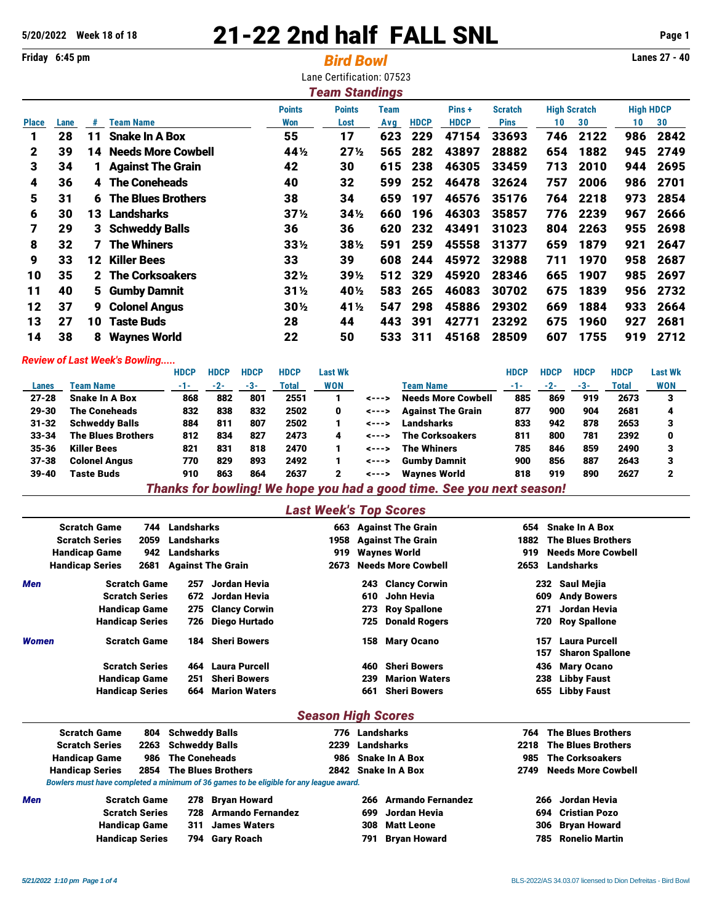# **5/20/2022 Week 18 of 18** 21-22 2nd half FALL SNL **Page 1**

**Friday 6:45 pm** *Bird Bowl* **Lanes 27 - 40** Lane Certification: 07523 *Team Standings* **Points Points Team Pins + Scratch High Scratch High HDCP Place Lane # Team Name Won Lost Avg HDCP HDCP Pins 10 30 10 30** 28 11 Snake In A Box 55 17 623 229 47154 33693 746 2122 986 2842 39 14 Needs More Cowbell 44½ 27½ 565 282 43897 28882 654 1882 945 2749 34 1 Against The Grain 42 30 615 238 46305 33459 713 2010 944 2695 36 4 The Coneheads 40 32 599 252 46478 32624 757 2006 986 2701 31 6 The Blues Brothers 38 34 659 197 46576 35176 764 2218 973 2854 30 13 Landsharks 37½ 34½ 660 196 46303 35857 776 2239 967 2666 29 3 Schweddy Balls 36 36 620 232 43491 31023 804 2263 955 2698 32 7 The Whiners 33½ 38½ 591 259 45558 31377 659 1879 921 2647 33 12 Killer Bees 33 39 608 244 45972 32988 711 1970 958 2687 35 2 The Corksoakers 32½ 39½ 512 329 45920 28346 665 1907 985 2697 40 5 Gumby Damnit 31½ 40½ 583 265 46083 30702 675 1839 956 2732 37 9 Colonel Angus 30½ 41½ 547 298 45886 29302 669 1884 933 2664 27 10 Taste Buds 28 44 443 391 42771 23292 675 1960 927 2681 38 8 Waynes World 22 50 533 311 45168 28509 607 1755 919 2712

#### *Review of Last Week's Bowling.....*

|           |                           | <b>HDCP</b> | <b>HDCP</b> | <b>HDCP</b> | <b>HDCP</b> | Last Wk    |                |                           | <b>HDCP</b> | HDCP | <b>HDCP</b> | <b>HDCP</b> | <b>Last Wk</b> |
|-----------|---------------------------|-------------|-------------|-------------|-------------|------------|----------------|---------------------------|-------------|------|-------------|-------------|----------------|
| Lanes     | <b>Team Name</b>          | -1-         | $-2-$       | -3-         | Total       | <b>WON</b> |                | <b>Team Name</b>          | $-1-$       | -2-  | $-3-$       | Total       | <b>WON</b>     |
| $27 - 28$ | <b>Snake In A Box</b>     | 868         | 882         | 801         | 2551        |            | $\leftarrow -$ | <b>Needs More Cowbell</b> | 885         | 869  | 919         | 2673        | з              |
| $29 - 30$ | <b>The Coneheads</b>      | 832         | 838         | 832         | 2502        | 0          | $\leftarrow -$ | <b>Against The Grain</b>  | 877         | 900  | 904         | 2681        | 4              |
| $31 - 32$ | <b>Schweddy Balls</b>     | 884         | 811         | 807         | 2502        |            | $\leftarrow -$ | Landsharks                | 833         | 942  | 878         | 2653        |                |
| $33 - 34$ | <b>The Blues Brothers</b> | 812         | 834         | 827         | 2473        | 4          | $\leftarrow -$ | <b>The Corksoakers</b>    | 811         | 800  | 781         | 2392        | 0              |
| $35 - 36$ | <b>Killer Bees</b>        | 821         | 831         | 818         | 2470        |            | $\leftarrow -$ | The Whiners               | 785         | 846  | 859         | 2490        |                |
| $37 - 38$ | <b>Colonel Angus</b>      | 770         | 829         | 893         | 2492        |            | $\leftarrow -$ | <b>Gumby Damnit</b>       | 900         | 856  | 887         | 2643        |                |
| $39 - 40$ | Taste Buds                | 910         | 863         | 864         | 2637        | 2          | <--->          | <b>Wavnes World</b>       | 818         | 919  | 890         | 2627        |                |
|           |                           |             |             | _________   |             |            |                |                           |             |      |             |             |                |

*Thanks for bowling! We hope you had a good time. See you next season!*

#### *Last Week's Top Scores*

|                        | <b>Scratch Game</b><br>744 |      | Landsharks |                          |                           |     | 663 Against The Grain     |      | 654 Snake In A Box         |
|------------------------|----------------------------|------|------------|--------------------------|---------------------------|-----|---------------------------|------|----------------------------|
|                        | <b>Scratch Series</b>      | 2059 | Landsharks |                          |                           |     | 1958 Against The Grain    | 1882 | <b>The Blues Brothers</b>  |
|                        | <b>Handicap Game</b>       | 942  | Landsharks |                          | 919                       |     | <b>Waynes World</b>       | 919  | <b>Needs More Cowbell</b>  |
| <b>Handicap Series</b> |                            | 2681 |            | <b>Against The Grain</b> | 2673                      |     | <b>Needs More Cowbell</b> | 2653 | Landsharks                 |
| <b>Men</b>             | <b>Scratch Game</b>        |      | 257        | Jordan Hevia             |                           |     | 243 Clancy Corwin         |      | Saul Mejia<br>232          |
|                        | <b>Scratch Series</b>      |      |            | 672 Jordan Hevia         |                           | 610 | John Hevia                | 609  | <b>Andy Bowers</b>         |
|                        | <b>Handicap Game</b>       |      |            | 275 Clancy Corwin        |                           |     | 273 Roy Spallone          | 271  | Jordan Hevia               |
|                        | <b>Handicap Series</b>     |      |            | 726 Diego Hurtado        |                           |     | <b>725 Donald Rogers</b>  |      | <b>Roy Spallone</b><br>720 |
| Women                  | <b>Scratch Game</b>        |      | 184        | <b>Sheri Bowers</b>      |                           |     | 158 Mary Ocano            | 157  | <b>Laura Purcell</b>       |
|                        |                            |      |            |                          |                           |     |                           | 157  | <b>Sharon Spallone</b>     |
|                        | <b>Scratch Series</b>      |      |            | 464 Laura Purcell        |                           | 460 | <b>Sheri Bowers</b>       | 436  | <b>Mary Ocano</b>          |
|                        | <b>Handicap Game</b>       |      | 251        | <b>Sheri Bowers</b>      |                           | 239 | <b>Marion Waters</b>      | 238  | <b>Libby Faust</b>         |
|                        | <b>Handicap Series</b>     |      | 664        | <b>Marion Waters</b>     |                           | 661 | <b>Sheri Bowers</b>       | 655  | <b>Libby Faust</b>         |
|                        |                            |      |            |                          | <b>Season High Scores</b> |     |                           |      |                            |

|     | <b>Scratch Game</b><br><b>Scratch Series</b><br><b>Handicap Game</b> |                                                    | 804 Schweddy Balls<br>2263 Schweddy Balls<br><b>The Coneheads</b> |                                                                                        | 776 Landsharks<br>2239 Landsharks<br>986 Snake In A Box |     |                          | 764<br>985 | <b>The Blues Brothers</b><br>2218 The Blues Brothers<br><b>The Corksoakers</b> |
|-----|----------------------------------------------------------------------|----------------------------------------------------|-------------------------------------------------------------------|----------------------------------------------------------------------------------------|---------------------------------------------------------|-----|--------------------------|------------|--------------------------------------------------------------------------------|
|     | <b>Handicap Series</b>                                               |                                                    |                                                                   | 2854 The Blues Brothers                                                                |                                                         |     | 2842 Snake In A Box      |            | 2749 Needs More Cowbell                                                        |
|     |                                                                      |                                                    |                                                                   | Bowlers must have completed a minimum of 36 games to be eligible for any league award. |                                                         |     |                          |            |                                                                                |
| Men |                                                                      | <b>Scratch Game</b>                                |                                                                   | 278 Bryan Howard                                                                       |                                                         | 266 | <b>Armando Fernandez</b> |            | 266 Jordan Hevia                                                               |
|     |                                                                      | <b>Scratch Series</b>                              |                                                                   | 728 Armando Fernandez                                                                  |                                                         | 699 | Jordan Hevia             |            | 694 Cristian Pozo                                                              |
|     |                                                                      | <b>James Waters</b><br><b>Handicap Game</b><br>311 |                                                                   |                                                                                        |                                                         | 308 | Matt Leone               |            | 306 Bryan Howard                                                               |
|     | <b>Handicap Series</b>                                               |                                                    |                                                                   | 794 Gary Roach                                                                         |                                                         | 791 | <b>Bryan Howard</b>      |            | <b>785</b> Ronelio Martin                                                      |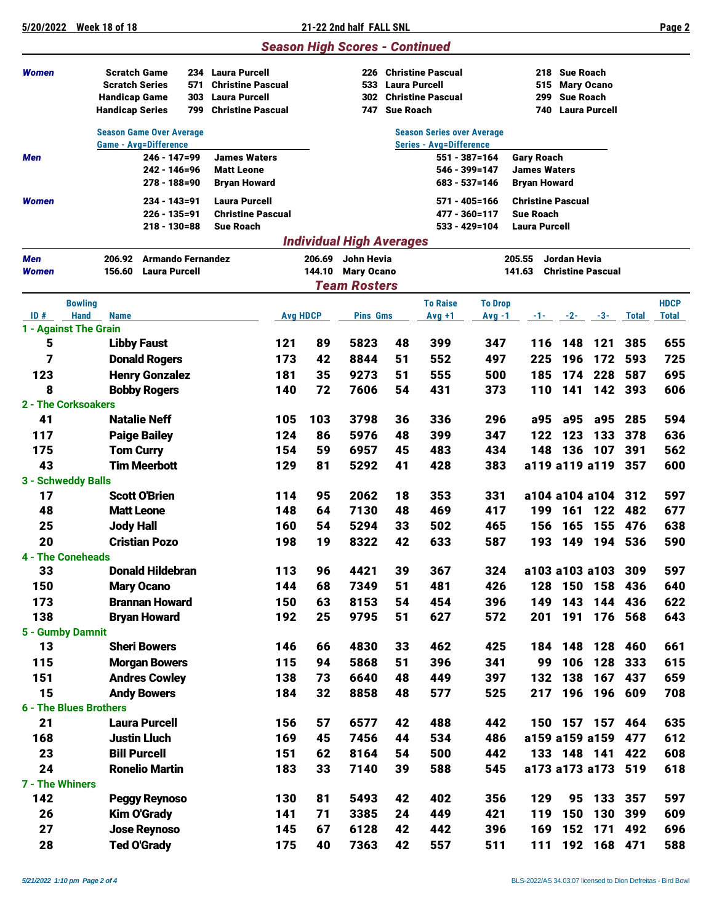## *Season High Scores - Continued*

| Women                                       | <b>Scratch Game</b><br><b>Scratch Series</b><br><b>Handicap Game</b><br><b>Handicap Series</b> | 234 Laura Purcell<br>571<br><b>Christine Pascual</b><br><b>Laura Purcell</b><br>303<br>799<br><b>Christine Pascual</b> |            |                 | 226<br>533<br>302<br>747        | <b>Laura Purcell</b><br><b>Sue Roach</b> | <b>Christine Pascual</b><br><b>Christine Pascual</b> |                | 299                                          | 218 Sue Roach<br>515 Mary Ocano<br><b>Sue Roach</b><br><b>740 Laura Purcell</b> |                          |              |              |
|---------------------------------------------|------------------------------------------------------------------------------------------------|------------------------------------------------------------------------------------------------------------------------|------------|-----------------|---------------------------------|------------------------------------------|------------------------------------------------------|----------------|----------------------------------------------|---------------------------------------------------------------------------------|--------------------------|--------------|--------------|
|                                             | <b>Season Game Over Average</b>                                                                |                                                                                                                        |            |                 |                                 |                                          | <b>Season Series over Average</b>                    |                |                                              |                                                                                 |                          |              |              |
|                                             | <b>Game - Avg=Difference</b>                                                                   |                                                                                                                        |            |                 |                                 |                                          | <b>Series - Avg=Difference</b>                       |                |                                              |                                                                                 |                          |              |              |
| Men                                         | 246 - 147=99                                                                                   | <b>James Waters</b>                                                                                                    |            |                 |                                 |                                          |                                                      | 551 - 387=164  | <b>Gary Roach</b>                            |                                                                                 |                          |              |              |
|                                             | 242 - 146=96<br>$278 - 188 = 90$                                                               | <b>Matt Leone</b><br><b>Bryan Howard</b>                                                                               |            |                 |                                 |                                          | 546 - 399=147<br>683 - 537=146                       |                | <b>James Waters</b><br><b>Bryan Howard</b>   |                                                                                 |                          |              |              |
|                                             |                                                                                                |                                                                                                                        |            |                 |                                 |                                          |                                                      |                |                                              |                                                                                 |                          |              |              |
| Women                                       | 234 - 143=91<br>226 - 135=91                                                                   | <b>Laura Purcell</b><br><b>Christine Pascual</b>                                                                       |            |                 |                                 |                                          | 571 - 405=166<br>477 - 360=117                       |                | <b>Christine Pascual</b><br><b>Sue Roach</b> |                                                                                 |                          |              |              |
|                                             | $218 - 130 = 88$                                                                               | <b>Sue Roach</b>                                                                                                       |            |                 |                                 |                                          | 533 - 429=104                                        |                | <b>Laura Purcell</b>                         |                                                                                 |                          |              |              |
|                                             |                                                                                                |                                                                                                                        |            |                 | <b>Individual High Averages</b> |                                          |                                                      |                |                                              |                                                                                 |                          |              |              |
| <b>Men</b>                                  | <b>Armando Fernandez</b><br>206.92                                                             |                                                                                                                        |            | 206.69          | John Hevia                      |                                          |                                                      |                | 205.55                                       | <b>Jordan Hevia</b>                                                             |                          |              |              |
| Women                                       | <b>Laura Purcell</b><br>156.60                                                                 |                                                                                                                        |            | 144.10          | <b>Mary Ocano</b>               |                                          |                                                      |                | 141.63                                       |                                                                                 | <b>Christine Pascual</b> |              |              |
|                                             |                                                                                                |                                                                                                                        |            |                 | <b>Team Rosters</b>             |                                          |                                                      |                |                                              |                                                                                 |                          |              |              |
| <b>Bowling</b>                              |                                                                                                |                                                                                                                        |            |                 |                                 |                                          | <b>To Raise</b>                                      | <b>To Drop</b> |                                              |                                                                                 |                          |              | <b>HDCP</b>  |
| <b>Hand</b><br>ID#<br>1 - Against The Grain | <b>Name</b>                                                                                    |                                                                                                                        |            | <b>Avg HDCP</b> | <b>Pins Gms</b>                 |                                          | $Avg +1$                                             | $Avg -1$       |                                              |                                                                                 | $-1$ $-2$ $-3$ $-3$      | <b>Total</b> | <b>Total</b> |
| 5                                           | <b>Libby Faust</b>                                                                             |                                                                                                                        | 121        | 89              | 5823                            | 48                                       | 399                                                  | 347            | 116                                          | 148                                                                             | 121                      | 385          | 655          |
| 7                                           | <b>Donald Rogers</b>                                                                           |                                                                                                                        | 173        | 42              | 8844                            | 51                                       | 552                                                  | 497            | 225                                          | 196                                                                             | 172                      | 593          | 725          |
| 123                                         | <b>Henry Gonzalez</b>                                                                          |                                                                                                                        | 181        | 35              | 9273                            | 51                                       | 555                                                  | 500            | 185                                          | 174                                                                             | 228                      | 587          | 695          |
| 8                                           | <b>Bobby Rogers</b>                                                                            |                                                                                                                        | 140        | 72              | 7606                            | 54                                       | 431                                                  | 373            | 110                                          | 141                                                                             | 142                      | 393          | 606          |
| 2 - The Corksoakers                         |                                                                                                |                                                                                                                        |            |                 |                                 |                                          |                                                      |                |                                              |                                                                                 |                          |              |              |
| 41                                          | <b>Natalie Neff</b>                                                                            |                                                                                                                        | 105        | 103             | 3798                            | 36                                       | 336                                                  | 296            | a95                                          | a95                                                                             | a95                      | 285          | 594          |
| 117                                         | <b>Paige Bailey</b>                                                                            |                                                                                                                        | 124        | 86              | 5976                            | 48                                       | 399                                                  | 347            | 122                                          | 123                                                                             | 133                      | 378          | 636          |
| 175                                         | <b>Tom Curry</b>                                                                               |                                                                                                                        | 154        | 59              | 6957                            | 45                                       | 483                                                  | 434            | 148                                          | 136                                                                             | 107                      | 391          | 562          |
| 43                                          | <b>Tim Meerbott</b>                                                                            |                                                                                                                        | 129        | 81              | 5292                            | 41                                       | 428                                                  | 383            |                                              |                                                                                 | a119 a119 a119           | 357          | 600          |
| 3 - Schweddy Balls                          |                                                                                                |                                                                                                                        |            |                 |                                 |                                          |                                                      |                |                                              |                                                                                 |                          |              |              |
| 17                                          | <b>Scott O'Brien</b>                                                                           |                                                                                                                        | 114        | 95              | 2062                            | 18                                       | 353                                                  | 331            |                                              |                                                                                 | a104 a104 a104           | 312          | 597          |
| 48                                          | <b>Matt Leone</b>                                                                              |                                                                                                                        | 148        | 64              | 7130                            | 48                                       | 469                                                  | 417            | 199                                          | 161                                                                             | 122                      | 482          | 677          |
| 25                                          | <b>Jody Hall</b>                                                                               |                                                                                                                        | 160        | 54              | 5294                            | 33                                       | 502                                                  | 465            | 156                                          | 165                                                                             | 155                      | 476          | 638          |
| 20                                          | <b>Cristian Pozo</b>                                                                           |                                                                                                                        | 198        | 19              | 8322                            | 42                                       | 633                                                  | 587            | 193                                          | 149                                                                             | 194                      | 536          | 590          |
| <b>4 - The Coneheads</b>                    |                                                                                                |                                                                                                                        |            |                 |                                 |                                          |                                                      |                |                                              |                                                                                 |                          |              |              |
| 33                                          | <b>Donald Hildebran</b>                                                                        |                                                                                                                        | 113        | 96              | 4421                            | 39                                       | 367                                                  | 324            |                                              |                                                                                 | a103 a103 a103           | 309          | 597          |
| 150                                         | <b>Mary Ocano</b>                                                                              |                                                                                                                        | 144        | 68              | 7349                            | 51                                       | 481                                                  | 426            |                                              | 128 150 158                                                                     |                          | 436          | 640          |
| 173                                         | <b>Brannan Howard</b>                                                                          |                                                                                                                        | 150<br>192 | 63<br>25        | 8153<br>9795                    | 54<br>51                                 | 454                                                  | 396            | 149<br>201                                   | 143                                                                             | 144<br>191 176 568       | 436          | 622<br>643   |
| 138<br>5 - Gumby Damnit                     | <b>Bryan Howard</b>                                                                            |                                                                                                                        |            |                 |                                 |                                          | 627                                                  | 572            |                                              |                                                                                 |                          |              |              |
| 13                                          | <b>Sheri Bowers</b>                                                                            |                                                                                                                        | 146        | 66              | 4830                            | 33                                       | 462                                                  | 425            | 184                                          |                                                                                 | 148 128                  | 460          | 661          |
| 115                                         | <b>Morgan Bowers</b>                                                                           |                                                                                                                        | 115        | 94              | 5868                            | 51                                       | 396                                                  | 341            | 99                                           |                                                                                 | 106 128                  | 333          | 615          |
| 151                                         | <b>Andres Cowley</b>                                                                           |                                                                                                                        | 138        | 73              | 6640                            | 48                                       | 449                                                  | 397            | 132                                          | 138                                                                             | 167                      | 437          | 659          |
| 15                                          | <b>Andy Bowers</b>                                                                             |                                                                                                                        | 184        | 32              | 8858                            | 48                                       | 577                                                  | 525            | 217                                          |                                                                                 | 196 196                  | 609          | 708          |
| <b>6 - The Blues Brothers</b>               |                                                                                                |                                                                                                                        |            |                 |                                 |                                          |                                                      |                |                                              |                                                                                 |                          |              |              |
| 21                                          | <b>Laura Purcell</b>                                                                           |                                                                                                                        | 156        | 57              | 6577                            | 42                                       | 488                                                  | 442            |                                              |                                                                                 | 150 157 157              | 464          | 635          |
| 168                                         | <b>Justin Lluch</b>                                                                            |                                                                                                                        | 169        | 45              | 7456                            | 44                                       | 534                                                  | 486            |                                              |                                                                                 | a159 a159 a159           | 477          | 612          |
| 23                                          | <b>Bill Purcell</b>                                                                            |                                                                                                                        | 151        | 62              | 8164                            | 54                                       | 500                                                  | 442            |                                              |                                                                                 | 133 148 141              | 422          | 608          |
| 24                                          | <b>Ronelio Martin</b>                                                                          |                                                                                                                        | 183        | 33              | 7140                            | 39                                       | 588                                                  | 545            |                                              |                                                                                 | a173 a173 a173 519       |              | 618          |
| 7 - The Whiners                             |                                                                                                |                                                                                                                        |            |                 |                                 |                                          |                                                      |                |                                              |                                                                                 |                          |              |              |
| 142                                         | <b>Peggy Reynoso</b>                                                                           |                                                                                                                        | 130        | 81              | 5493                            | 42                                       | 402                                                  | 356            | 129                                          | 95                                                                              | 133                      | 357          | 597          |
| 26                                          | <b>Kim O'Grady</b>                                                                             |                                                                                                                        | 141        | 71              | 3385                            | 24                                       | 449                                                  | 421            | 119                                          | 150                                                                             | 130                      | 399          | 609          |
| 27                                          | <b>Jose Reynoso</b>                                                                            |                                                                                                                        | 145        | 67              | 6128                            | 42                                       | 442                                                  | 396            | 169                                          | 152                                                                             | 171                      | 492          | 696          |
| 28                                          | <b>Ted O'Grady</b>                                                                             |                                                                                                                        | 175        | 40              | 7363                            | 42                                       | 557                                                  | 511            | $111$                                        |                                                                                 | 192 168 471              |              | 588          |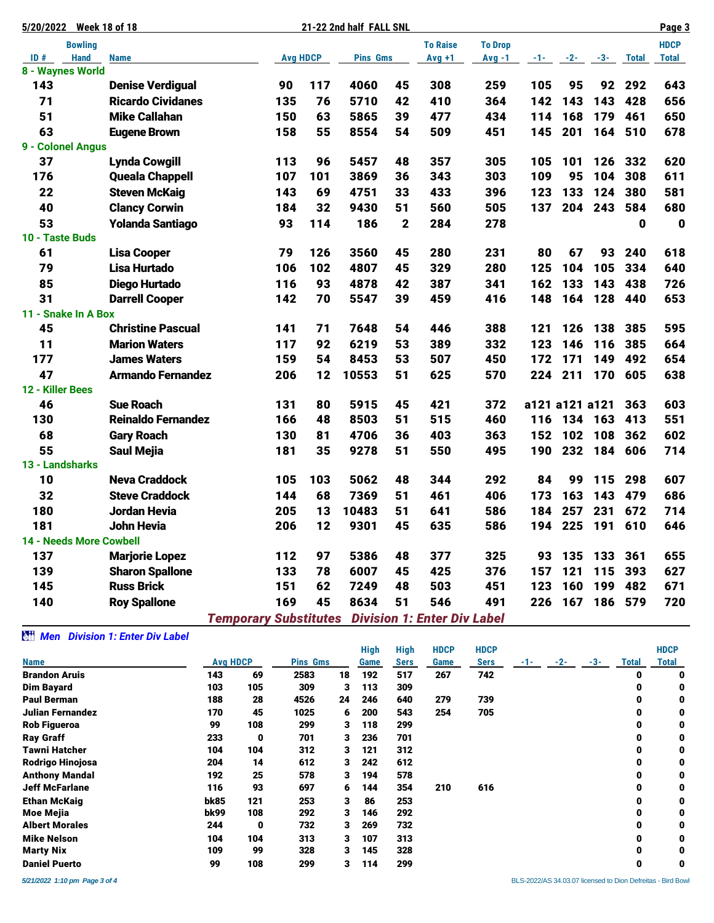| 5/20/2022        | <b>Week 18 of 18</b>       |                              |                 | 21-22 2nd half FALL SNL |                |                                    |                |       |                |       |              | Page 3       |
|------------------|----------------------------|------------------------------|-----------------|-------------------------|----------------|------------------------------------|----------------|-------|----------------|-------|--------------|--------------|
|                  | <b>Bowling</b>             |                              |                 |                         |                | <b>To Raise</b>                    | <b>To Drop</b> |       |                |       |              | <b>HDCP</b>  |
| ID#              | <b>Hand</b><br><b>Name</b> |                              | <b>Avg HDCP</b> | <b>Pins Gms</b>         |                | $Avg +1$                           | $Avg -1$       | $-1-$ | $-2-$          | $-3-$ | <b>Total</b> | <b>Total</b> |
|                  | 8 - Waynes World           |                              |                 |                         |                |                                    |                |       |                |       |              |              |
| 143              | <b>Denise Verdigual</b>    | 90                           | 117             | 4060                    | 45             | 308                                | 259            | 105   | 95             | 92    | 292          | 643          |
| 71               | <b>Ricardo Cividanes</b>   | 135                          | 76              | 5710                    | 42             | 410                                | 364            | 142   | 143            | 143   | 428          | 656          |
| 51               | <b>Mike Callahan</b>       | 150                          | 63              | 5865                    | 39             | 477                                | 434            | 114   | 168            | 179   | 461          | 650          |
| 63               | <b>Eugene Brown</b>        | 158                          | 55              | 8554                    | 54             | 509                                | 451            | 145   | 201            | 164   | 510          | 678          |
|                  | 9 - Colonel Angus          |                              |                 |                         |                |                                    |                |       |                |       |              |              |
| 37               | <b>Lynda Cowgill</b>       | 113                          | 96              | 5457                    | 48             | 357                                | 305            | 105   | 101            | 126   | 332          | 620          |
| 176              | <b>Queala Chappell</b>     | 107                          | 101             | 3869                    | 36             | 343                                | 303            | 109   | 95             | 104   | 308          | 611          |
| 22               | <b>Steven McKaig</b>       | 143                          | 69              | 4751                    | 33             | 433                                | 396            | 123   | 133            | 124   | 380          | 581          |
| 40               | <b>Clancy Corwin</b>       | 184                          | 32              | 9430                    | 51             | 560                                | 505            | 137   | 204            | 243   | 584          | 680          |
| 53               | <b>Yolanda Santiago</b>    | 93                           | 114             | 186                     | $\overline{2}$ | 284                                | 278            |       |                |       | 0            | $\mathbf 0$  |
| 10 - Taste Buds  |                            |                              |                 |                         |                |                                    |                |       |                |       |              |              |
| 61               | <b>Lisa Cooper</b>         | 79                           | 126             | 3560                    | 45             | 280                                | 231            | 80    | 67             | 93    | 240          | 618          |
| 79               | Lisa Hurtado               | 106                          | 102             | 4807                    | 45             | 329                                | 280            | 125   | 104            | 105   | 334          | 640          |
| 85               | <b>Diego Hurtado</b>       | 116                          | 93              | 4878                    | 42             | 387                                | 341            | 162   | 133            | 143   | 438          | 726          |
| 31               | <b>Darrell Cooper</b>      | 142                          | 70              | 5547                    | 39             | 459                                | 416            | 148   | 164            | 128   | 440          | 653          |
|                  | 11 - Snake In A Box        |                              |                 |                         |                |                                    |                |       |                |       |              |              |
| 45               | <b>Christine Pascual</b>   | 141                          | 71              | 7648                    | 54             | 446                                | 388            | 121   | 126            | 138   | 385          | 595          |
| 11               | <b>Marion Waters</b>       | 117                          | 92              | 6219                    | 53             | 389                                | 332            | 123   | 146            | 116   | 385          | 664          |
| 177              | <b>James Waters</b>        | 159                          | 54              | 8453                    | 53             | 507                                | 450            | 172   | 171            | 149   | 492          | 654          |
| 47               | <b>Armando Fernandez</b>   | 206                          | 12              | 10553                   | 51             | 625                                | 570            | 224   | 211            | 170   | 605          | 638          |
| 12 - Killer Bees |                            |                              |                 |                         |                |                                    |                |       |                |       |              |              |
| 46               | <b>Sue Roach</b>           | 131                          | 80              | 5915                    | 45             | 421                                | 372            |       | a121 a121 a121 |       | 363          | 603          |
| 130              | <b>Reinaldo Fernandez</b>  | 166                          | 48              | 8503                    | 51             | 515                                | 460            | 116   | 134            | 163   | 413          | 551          |
| 68               | <b>Gary Roach</b>          | 130                          | 81              | 4706                    | 36             | 403                                | 363            | 152   | 102            | 108   | 362          | 602          |
| 55               | <b>Saul Mejia</b>          | 181                          | 35              | 9278                    | 51             | 550                                | 495            | 190   | 232            | 184   | 606          | 714          |
| 13 - Landsharks  |                            |                              |                 |                         |                |                                    |                |       |                |       |              |              |
| 10               | <b>Neva Craddock</b>       | 105                          | 103             | 5062                    | 48             | 344                                | 292            | 84    | 99             | 115   | 298          | 607          |
| 32               | <b>Steve Craddock</b>      | 144                          | 68              | 7369                    | 51             | 461                                | 406            | 173   | 163            | 143   | 479          | 686          |
| 180              | <b>Jordan Hevia</b>        | 205                          | 13              | 10483                   | 51             | 641                                | 586            | 184   | 257            | 231   | 672          | 714          |
| 181              | <b>John Hevia</b>          | 206                          | 12              | 9301                    | 45             | 635                                | 586            | 194   | 225            | 191   | 610          | 646          |
|                  | 14 - Needs More Cowbell    |                              |                 |                         |                |                                    |                |       |                |       |              |              |
| 137              | <b>Marjorie Lopez</b>      | 112                          | 97              | 5386                    | 48             | 377                                | 325            | 93    | 135            | 133   | 361          | 655          |
| 139              | <b>Sharon Spallone</b>     | 133                          | 78              | 6007                    | 45             | 425                                | 376            | 157   | 121            | 115   | 393          | 627          |
| 145              | <b>Russ Brick</b>          | 151                          | 62              | 7249                    | 48             | 503                                | 451            | 123   | 160            | 199   | 482          | 671          |
| 140              | <b>Roy Spallone</b>        | 169                          | 45              | 8634                    | 51             | 546                                | 491            | 226   | 167            | 186   | 579          | 720          |
|                  |                            | <b>Temporary Substitutes</b> |                 |                         |                | <b>Division 1: Enter Div Label</b> |                |       |                |       |              |              |

### *Men Division 1: Enter Div Label*

|                       |                 |     |      |                 | <b>High</b> | <b>High</b> | <b>HDCP</b> | <b>HDCP</b> |       |       |       |          | <b>HDCP</b> |
|-----------------------|-----------------|-----|------|-----------------|-------------|-------------|-------------|-------------|-------|-------|-------|----------|-------------|
| <b>Name</b>           | <b>Avg HDCP</b> |     |      | <b>Pins Gms</b> |             | <b>Sers</b> | Game        | <b>Sers</b> | $-1-$ | $-2-$ | $-3-$ | Total    | Total       |
| <b>Brandon Aruis</b>  | 143             | 69  | 2583 | 18              | 192         | 517         | 267         | 742         |       |       |       | 0        | 0           |
| <b>Dim Bayard</b>     | 103             | 105 | 309  | 3               | 113         | 309         |             |             |       |       |       | 0        | 0           |
| <b>Paul Berman</b>    | 188             | 28  | 4526 | 24              | 246         | 640         | 279         | 739         |       |       |       | 0        | 0           |
| Julian Fernandez      | 170             | 45  | 1025 | 6               | 200         | 543         | 254         | 705         |       |       |       | 0        | 0           |
| <b>Rob Figueroa</b>   | 99              | 108 | 299  | з               | 118         | 299         |             |             |       |       |       | 0        | 0           |
| <b>Ray Graff</b>      | 233             | 0   | 701  | з               | 236         | 701         |             |             |       |       |       | 0        | 0           |
| Tawni Hatcher         | 104             | 104 | 312  | 3               | 121         | 312         |             |             |       |       |       | 0        | 0           |
| Rodrigo Hinojosa      | 204             | 14  | 612  | з               | 242         | 612         |             |             |       |       |       | 0        | 0           |
| <b>Anthony Mandal</b> | 192             | 25  | 578  | 3               | 194         | 578         |             |             |       |       |       | 0        | 0           |
| <b>Jeff McFarlane</b> | 116             | 93  | 697  | 6               | 144         | 354         | 210         | 616         |       |       |       | 0        | 0           |
| <b>Ethan McKaig</b>   | <b>bk85</b>     | 121 | 253  | 3               | 86          | 253         |             |             |       |       |       | 0        | 0           |
| <b>Moe Mejia</b>      | bk99            | 108 | 292  | 3               | 146         | 292         |             |             |       |       |       | 0        | 0           |
| <b>Albert Morales</b> | 244             | 0   | 732  | 3               | 269         | 732         |             |             |       |       |       | $\bf{0}$ | 0           |
| <b>Mike Nelson</b>    | 104             | 104 | 313  | з               | 107         | 313         |             |             |       |       |       | 0        | 0           |
| <b>Marty Nix</b>      | 109             | 99  | 328  | з               | 145         | 328         |             |             |       |       |       | 0        | 0           |
| <b>Daniel Puerto</b>  | 99              | 108 | 299  | 3               | 114         | 299         |             |             |       |       |       | 0        | 0           |